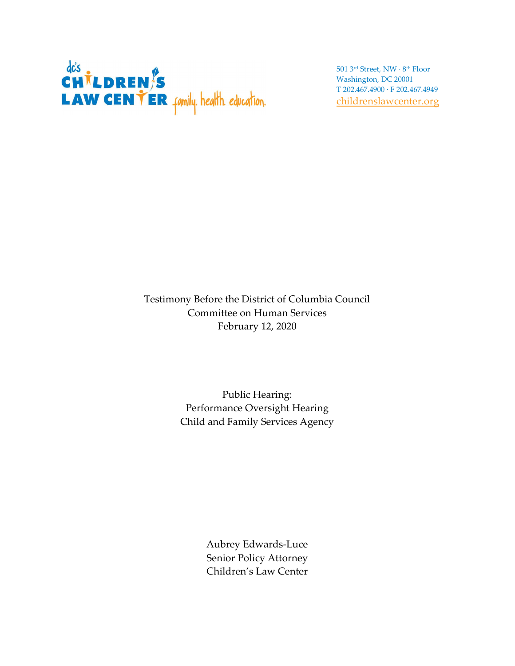

501 3rd Street, NW · 8th Floor Washington, DC 20001 T 202.467.4900 · F 202.467.4949 childrenslawcenter.org

Testimony Before the District of Columbia Council Committee on Human Services February 12, 2020

> Public Hearing: Performance Oversight Hearing Child and Family Services Agency

> > Aubrey Edwards-Luce Senior Policy Attorney Children's Law Center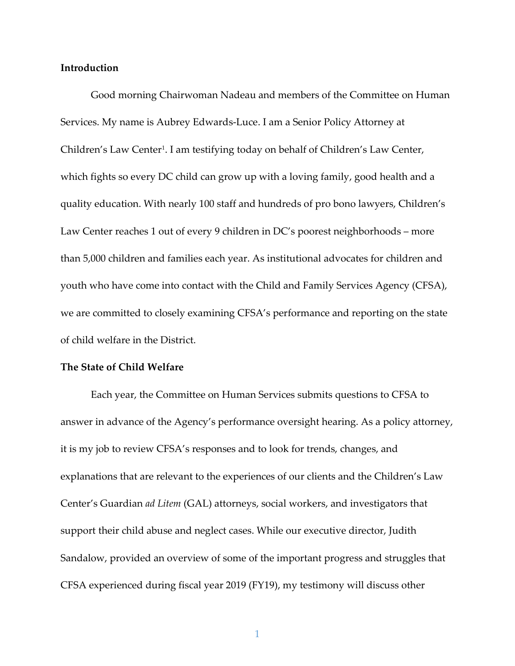## Introduction

Good morning Chairwoman Nadeau and members of the Committee on Human Services. My name is Aubrey Edwards-Luce. I am a Senior Policy Attorney at Children's Law Center<sup>1</sup>. I am testifying today on behalf of Children's Law Center, which fights so every DC child can grow up with a loving family, good health and a quality education. With nearly 100 staff and hundreds of pro bono lawyers, Children's Law Center reaches 1 out of every 9 children in DC's poorest neighborhoods – more than 5,000 children and families each year. As institutional advocates for children and youth who have come into contact with the Child and Family Services Agency (CFSA), we are committed to closely examining CFSA's performance and reporting on the state of child welfare in the District.

## The State of Child Welfare

Each year, the Committee on Human Services submits questions to CFSA to answer in advance of the Agency's performance oversight hearing. As a policy attorney, it is my job to review CFSA's responses and to look for trends, changes, and explanations that are relevant to the experiences of our clients and the Children's Law Center's Guardian ad Litem (GAL) attorneys, social workers, and investigators that support their child abuse and neglect cases. While our executive director, Judith Sandalow, provided an overview of some of the important progress and struggles that CFSA experienced during fiscal year 2019 (FY19), my testimony will discuss other

1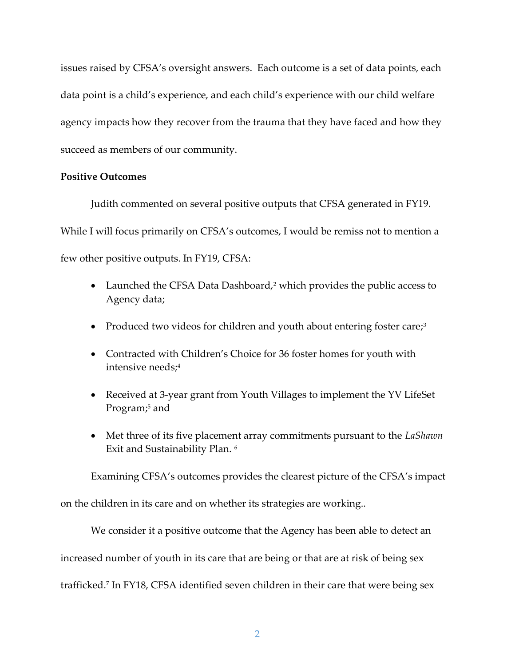issues raised by CFSA's oversight answers. Each outcome is a set of data points, each data point is a child's experience, and each child's experience with our child welfare agency impacts how they recover from the trauma that they have faced and how they succeed as members of our community.

# Positive Outcomes

Judith commented on several positive outputs that CFSA generated in FY19. While I will focus primarily on CFSA's outcomes, I would be remiss not to mention a few other positive outputs. In FY19, CFSA:

- Launched the CFSA Data Dashboard,<sup>2</sup> which provides the public access to Agency data;
- Produced two videos for children and youth about entering foster care;<sup>3</sup>
- Contracted with Children's Choice for 36 foster homes for youth with intensive needs;<sup>4</sup>
- Received at 3-year grant from Youth Villages to implement the YV LifeSet Program;<sup>5</sup> and
- Met three of its five placement array commitments pursuant to the LaShawn Exit and Sustainability Plan. <sup>6</sup>

Examining CFSA's outcomes provides the clearest picture of the CFSA's impact

on the children in its care and on whether its strategies are working..

We consider it a positive outcome that the Agency has been able to detect an increased number of youth in its care that are being or that are at risk of being sex trafficked.<sup>7</sup> In FY18, CFSA identified seven children in their care that were being sex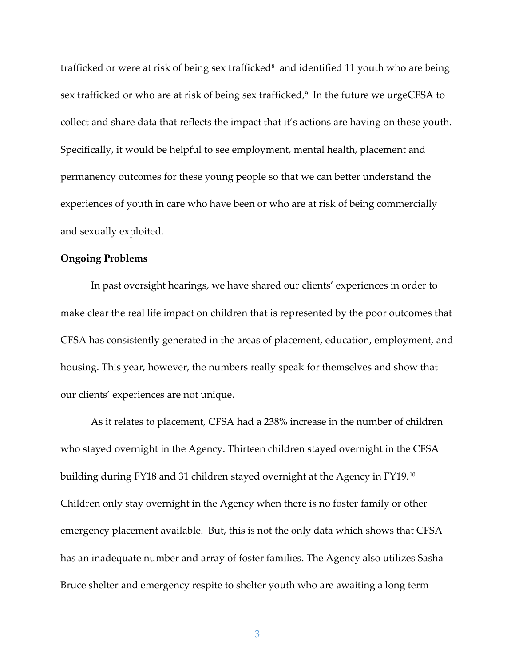trafficked or were at risk of being sex trafficked<sup>8</sup> and identified 11 youth who are being sex trafficked or who are at risk of being sex trafficked,<sup>9</sup> In the future we urgeCFSA to collect and share data that reflects the impact that it's actions are having on these youth. Specifically, it would be helpful to see employment, mental health, placement and permanency outcomes for these young people so that we can better understand the experiences of youth in care who have been or who are at risk of being commercially and sexually exploited.

# Ongoing Problems

 In past oversight hearings, we have shared our clients' experiences in order to make clear the real life impact on children that is represented by the poor outcomes that CFSA has consistently generated in the areas of placement, education, employment, and housing. This year, however, the numbers really speak for themselves and show that our clients' experiences are not unique.

As it relates to placement, CFSA had a 238% increase in the number of children who stayed overnight in the Agency. Thirteen children stayed overnight in the CFSA building during FY18 and 31 children stayed overnight at the Agency in FY19.<sup>10</sup> Children only stay overnight in the Agency when there is no foster family or other emergency placement available. But, this is not the only data which shows that CFSA has an inadequate number and array of foster families. The Agency also utilizes Sasha Bruce shelter and emergency respite to shelter youth who are awaiting a long term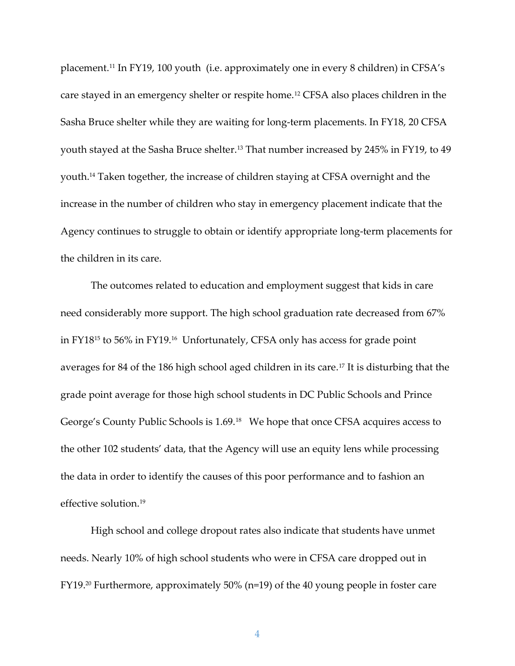placement.11 In FY19, 100 youth (i.e. approximately one in every 8 children) in CFSA's care stayed in an emergency shelter or respite home.12 CFSA also places children in the Sasha Bruce shelter while they are waiting for long-term placements. In FY18, 20 CFSA youth stayed at the Sasha Bruce shelter.<sup>13</sup> That number increased by 245% in FY19, to 49 youth.14 Taken together, the increase of children staying at CFSA overnight and the increase in the number of children who stay in emergency placement indicate that the Agency continues to struggle to obtain or identify appropriate long-term placements for the children in its care.

The outcomes related to education and employment suggest that kids in care need considerably more support. The high school graduation rate decreased from 67% in FY1815 to 56% in FY19.16 Unfortunately, CFSA only has access for grade point averages for 84 of the 186 high school aged children in its care.17 It is disturbing that the grade point average for those high school students in DC Public Schools and Prince George's County Public Schools is 1.69.18 We hope that once CFSA acquires access to the other 102 students' data, that the Agency will use an equity lens while processing the data in order to identify the causes of this poor performance and to fashion an effective solution.<sup>19</sup>

High school and college dropout rates also indicate that students have unmet needs. Nearly 10% of high school students who were in CFSA care dropped out in FY19.20 Furthermore, approximately 50% (n=19) of the 40 young people in foster care

4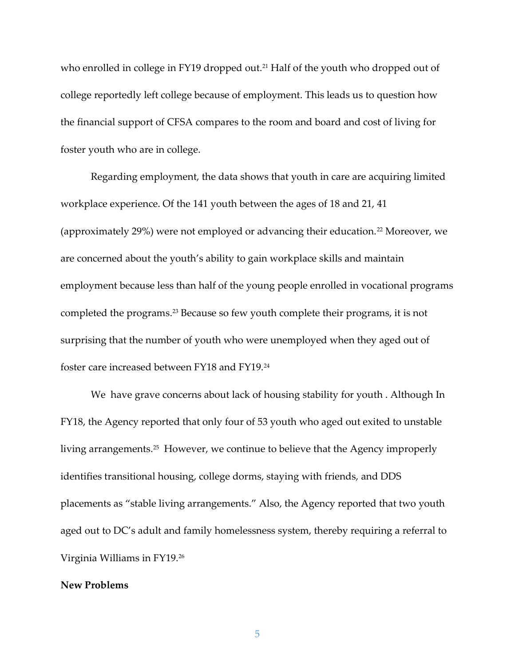who enrolled in college in FY19 dropped out.<sup>21</sup> Half of the youth who dropped out of college reportedly left college because of employment. This leads us to question how the financial support of CFSA compares to the room and board and cost of living for foster youth who are in college.

Regarding employment, the data shows that youth in care are acquiring limited workplace experience. Of the 141 youth between the ages of 18 and 21, 41 (approximately 29%) were not employed or advancing their education.22 Moreover, we are concerned about the youth's ability to gain workplace skills and maintain employment because less than half of the young people enrolled in vocational programs completed the programs.23 Because so few youth complete their programs, it is not surprising that the number of youth who were unemployed when they aged out of foster care increased between FY18 and FY19.<sup>24</sup>

We have grave concerns about lack of housing stability for youth . Although In FY18, the Agency reported that only four of 53 youth who aged out exited to unstable living arrangements.25 However, we continue to believe that the Agency improperly identifies transitional housing, college dorms, staying with friends, and DDS placements as "stable living arrangements." Also, the Agency reported that two youth aged out to DC's adult and family homelessness system, thereby requiring a referral to Virginia Williams in FY19.<sup>26</sup>

## New Problems

5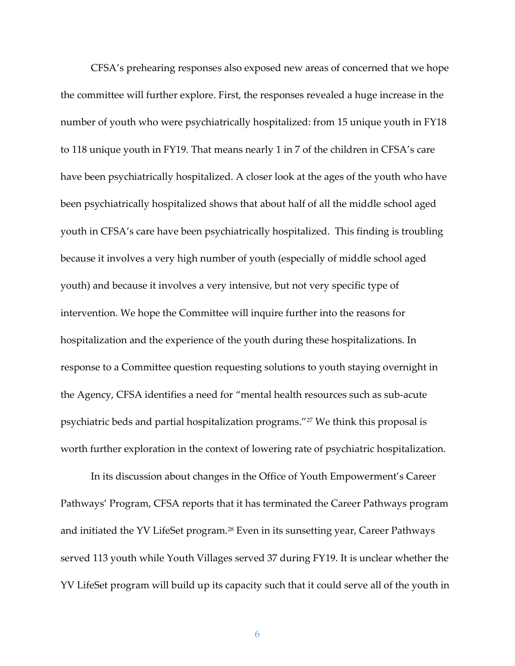CFSA's prehearing responses also exposed new areas of concerned that we hope the committee will further explore. First, the responses revealed a huge increase in the number of youth who were psychiatrically hospitalized: from 15 unique youth in FY18 to 118 unique youth in FY19. That means nearly 1 in 7 of the children in CFSA's care have been psychiatrically hospitalized. A closer look at the ages of the youth who have been psychiatrically hospitalized shows that about half of all the middle school aged youth in CFSA's care have been psychiatrically hospitalized. This finding is troubling because it involves a very high number of youth (especially of middle school aged youth) and because it involves a very intensive, but not very specific type of intervention. We hope the Committee will inquire further into the reasons for hospitalization and the experience of the youth during these hospitalizations. In response to a Committee question requesting solutions to youth staying overnight in the Agency, CFSA identifies a need for "mental health resources such as sub-acute psychiatric beds and partial hospitalization programs."27 We think this proposal is worth further exploration in the context of lowering rate of psychiatric hospitalization.

 In its discussion about changes in the Office of Youth Empowerment's Career Pathways' Program, CFSA reports that it has terminated the Career Pathways program and initiated the YV LifeSet program.28 Even in its sunsetting year, Career Pathways served 113 youth while Youth Villages served 37 during FY19. It is unclear whether the YV LifeSet program will build up its capacity such that it could serve all of the youth in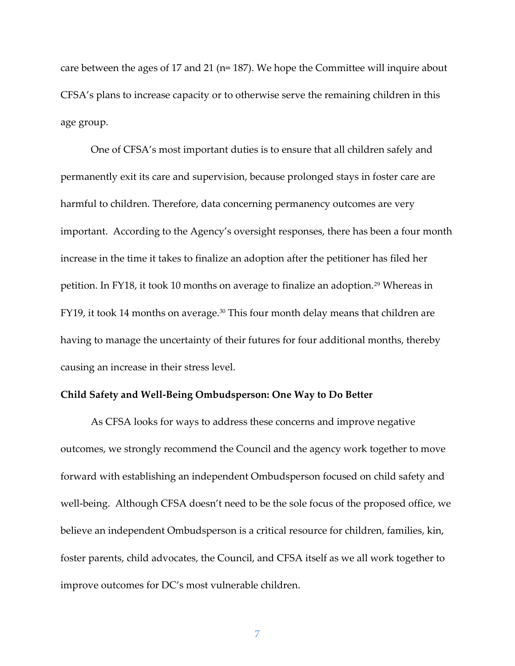care between the ages of 17 and 21 (n= 187). We hope the Committee will inquire about CFSA's plans to increase capacity or to otherwise serve the remaining children in this age group.

 One of CFSA's most important duties is to ensure that all children safely and permanently exit its care and supervision, because prolonged stays in foster care are harmful to children. Therefore, data concerning permanency outcomes are very important. According to the Agency's oversight responses, there has been a four month increase in the time it takes to finalize an adoption after the petitioner has filed her petition. In FY18, it took 10 months on average to finalize an adoption.<sup>29</sup> Whereas in FY19, it took 14 months on average.<sup>30</sup> This four month delay means that children are having to manage the uncertainty of their futures for four additional months, thereby causing an increase in their stress level.

#### Child Safety and Well-Being Ombudsperson: One Way to Do Better

As CFSA looks for ways to address these concerns and improve negative outcomes, we strongly recommend the Council and the agency work together to move forward with establishing an independent Ombudsperson focused on child safety and well-being. Although CFSA doesn't need to be the sole focus of the proposed office, we believe an independent Ombudsperson is a critical resource for children, families, kin, foster parents, child advocates, the Council, and CFSA itself as we all work together to improve outcomes for DC's most vulnerable children.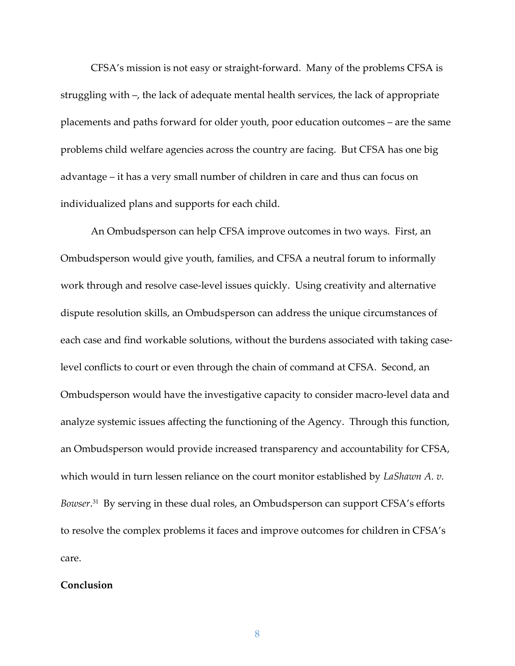CFSA's mission is not easy or straight-forward. Many of the problems CFSA is struggling with –, the lack of adequate mental health services, the lack of appropriate placements and paths forward for older youth, poor education outcomes – are the same problems child welfare agencies across the country are facing. But CFSA has one big advantage – it has a very small number of children in care and thus can focus on individualized plans and supports for each child.

An Ombudsperson can help CFSA improve outcomes in two ways. First, an Ombudsperson would give youth, families, and CFSA a neutral forum to informally work through and resolve case-level issues quickly. Using creativity and alternative dispute resolution skills, an Ombudsperson can address the unique circumstances of each case and find workable solutions, without the burdens associated with taking caselevel conflicts to court or even through the chain of command at CFSA. Second, an Ombudsperson would have the investigative capacity to consider macro-level data and analyze systemic issues affecting the functioning of the Agency. Through this function, an Ombudsperson would provide increased transparency and accountability for CFSA, which would in turn lessen reliance on the court monitor established by LaShawn A. v. Bowser.<sup>31</sup> By serving in these dual roles, an Ombudsperson can support CFSA's efforts to resolve the complex problems it faces and improve outcomes for children in CFSA's care.

# Conclusion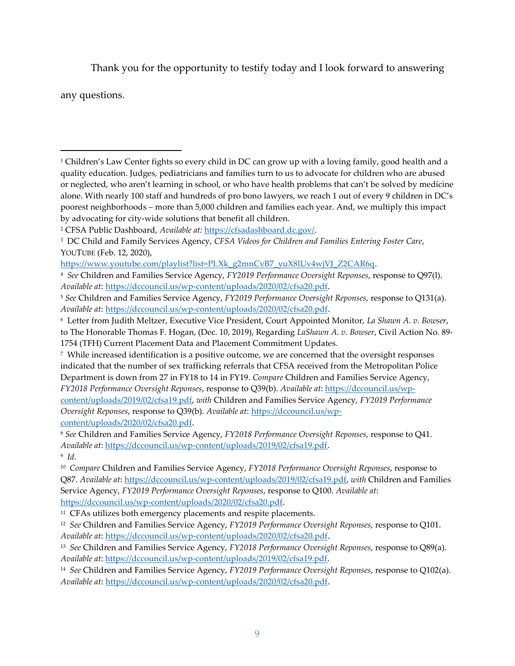Thank you for the opportunity to testify today and I look forward to answering

any questions.

content/uploads/2019/02/cfsa19.pdf, with Children and Families Service Agency, FY2019 Performance Oversight Reponses, response to Q39(b). Available at: https://dccouncil.us/wpcontent/uploads/2020/02/cfsa20.pdf.

<sup>8</sup> See Children and Families Service Agency, FY2018 Performance Oversight Reponses, response to Q41. Available at: https://dccouncil.us/wp-content/uploads/2019/02/cfsa19.pdf.

9 Id.

<sup>1</sup> Children's Law Center fights so every child in DC can grow up with a loving family, good health and a quality education. Judges, pediatricians and families turn to us to advocate for children who are abused or neglected, who aren't learning in school, or who have health problems that can't be solved by medicine alone. With nearly 100 staff and hundreds of pro bono lawyers, we reach 1 out of every 9 children in DC's poorest neighborhoods – more than 5,000 children and families each year. And, we multiply this impact by advocating for city-wide solutions that benefit all children.

<sup>&</sup>lt;sup>2</sup> CFSA Public Dashboard, Available at: https://cfsadashboard.dc.gov/.

<sup>&</sup>lt;sup>3</sup> DC Child and Family Services Agency, CFSA Videos for Children and Families Entering Foster Care, YOUTUBE (Feb. 12, 2020),

https://www.youtube.com/playlist?list=PLXk\_g2mnCvB7\_yuX8lUv4wjVJ\_Z2CAR6q.

<sup>4</sup> See Children and Families Service Agency, FY2019 Performance Oversight Reponses, response to Q97(l). Available at: https://dccouncil.us/wp-content/uploads/2020/02/cfsa20.pdf.

<sup>&</sup>lt;sup>5</sup> See Children and Families Service Agency, FY2019 Performance Oversight Reponses, response to Q131(a). Available at: https://dccouncil.us/wp-content/uploads/2020/02/cfsa20.pdf.

<sup>&</sup>lt;sup>6</sup> Letter from Judith Meltzer, Executive Vice President, Court Appointed Monitor, La Shawn A. v. Bowser, to The Honorable Thomas F. Hogan, (Dec. 10, 2019), Regarding LaShawn A. v. Bowser, Civil Action No. 89-1754 (TFH) Current Placement Data and Placement Commitment Updates.

<sup>7</sup> While increased identification is a positive outcome, we are concerned that the oversight responses indicated that the number of sex trafficking referrals that CFSA received from the Metropolitan Police Department is down from 27 in FY18 to 14 in FY19. Compare Children and Families Service Agency, FY2018 Performance Oversight Reponses, response to Q39(b). Available at: https://dccouncil.us/wp-

<sup>&</sup>lt;sup>10</sup> Compare Children and Families Service Agency, FY2018 Performance Oversight Reponses, response to Q87. Available at: https://dccouncil.us/wp-content/uploads/2019/02/cfsa19.pdf, with Children and Families Service Agency, FY2019 Performance Oversight Reponses, response to Q100. Available at: https://dccouncil.us/wp-content/uploads/2020/02/cfsa20.pdf.

<sup>&</sup>lt;sup>11</sup> CFAs utilizes both emergency placements and respite placements.

<sup>&</sup>lt;sup>12</sup> See Children and Families Service Agency, FY2019 Performance Oversight Reponses, response to Q101. Available at: https://dccouncil.us/wp-content/uploads/2020/02/cfsa20.pdf.

<sup>&</sup>lt;sup>13</sup> See Children and Families Service Agency, FY2018 Performance Oversight Reponses, response to Q89(a). Available at: https://dccouncil.us/wp-content/uploads/2019/02/cfsa19.pdf.

<sup>&</sup>lt;sup>14</sup> See Children and Families Service Agency, FY2019 Performance Oversight Reponses, response to Q102(a). Available at: https://dccouncil.us/wp-content/uploads/2020/02/cfsa20.pdf.